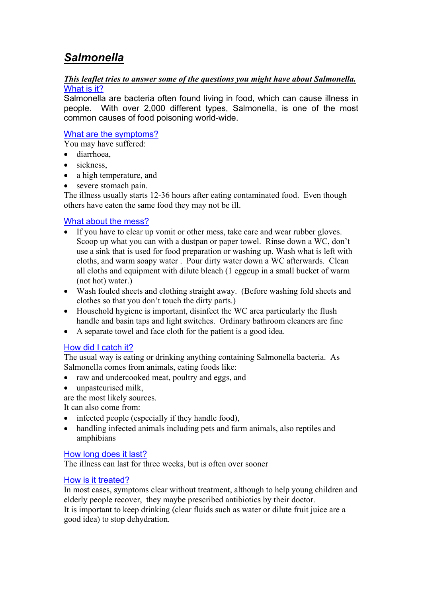### *Salmonella*

#### *This leaflet tries to answer some of the questions you might have about Salmonella.* What is it?

Salmonella are bacteria often found living in food, which can cause illness in people. With over 2,000 different types, Salmonella, is one of the most common causes of food poisoning world-wide.

#### What are the symptoms?

You may have suffered:

- diarrhoea,
- sickness.
- a high temperature, and
- severe stomach pain.

The illness usually starts 12-36 hours after eating contaminated food. Even though others have eaten the same food they may not be ill.

### What about the mess?

- If you have to clear up vomit or other mess, take care and wear rubber gloves. Scoop up what you can with a dustpan or paper towel. Rinse down a WC, don't use a sink that is used for food preparation or washing up. Wash what is left with cloths, and warm soapy water . Pour dirty water down a WC afterwards. Clean all cloths and equipment with dilute bleach (1 eggcup in a small bucket of warm (not hot) water.)
- Wash fouled sheets and clothing straight away. (Before washing fold sheets and clothes so that you don't touch the dirty parts.)
- Household hygiene is important, disinfect the WC area particularly the flush handle and basin taps and light switches. Ordinary bathroom cleaners are fine
- A separate towel and face cloth for the patient is a good idea.

#### How did I catch it?

The usual way is eating or drinking anything containing Salmonella bacteria. As Salmonella comes from animals, eating foods like:

- raw and undercooked meat, poultry and eggs, and
- unpasteurised milk,

are the most likely sources.

It can also come from:

- infected people (especially if they handle food),
- handling infected animals including pets and farm animals, also reptiles and amphibians

#### How long does it last?

The illness can last for three weeks, but is often over sooner

#### How is it treated?

In most cases, symptoms clear without treatment, although to help young children and elderly people recover, they maybe prescribed antibiotics by their doctor. It is important to keep drinking (clear fluids such as water or dilute fruit juice are a good idea) to stop dehydration.